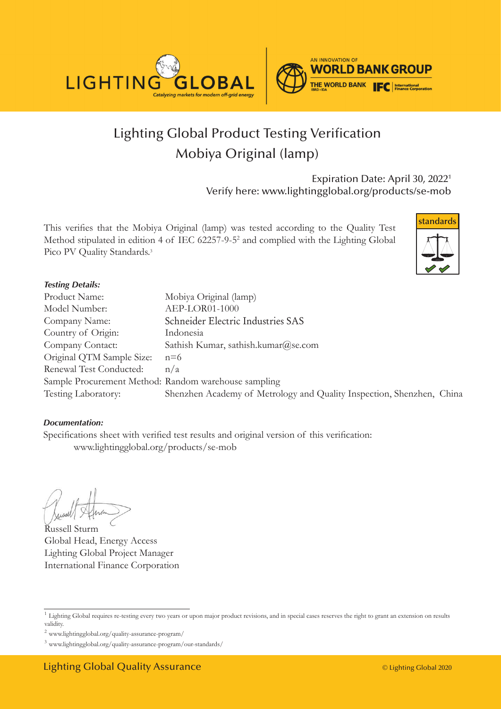



# Lighting Global Product Testing Verification Mobiya Original (lamp)

Expiration Date: April 30, 2022<sup>1</sup> Verify here: www.lightingglobal.org/products/se-mob

This verifies that the Mobiya Original (lamp) was tested according to the Quality Test Method stipulated in edition 4 of IEC 62257-9-52 and complied with the Lighting Global Pico PV Quality Standards.<sup>3</sup>



#### *Testing Details:*

| Product Name:                                        | Mobiya Original (lamp)                                                |
|------------------------------------------------------|-----------------------------------------------------------------------|
| Model Number:                                        | AEP-LOR01-1000                                                        |
| Company Name:                                        | Schneider Electric Industries SAS                                     |
| Country of Origin:                                   | Indonesia                                                             |
| Company Contact:                                     | Sathish Kumar, sathish.kumar@se.com                                   |
| Original QTM Sample Size:                            | $n=6$                                                                 |
| Renewal Test Conducted:                              | n/a                                                                   |
| Sample Procurement Method: Random warehouse sampling |                                                                       |
| Testing Laboratory:                                  | Shenzhen Academy of Metrology and Quality Inspection, Shenzhen, China |

#### *Documentation:*

Specifications sheet with verified test results and original version of this verification: www.lightingglobal.org/products/se-mob

Russell Sturm Global Head, Energy Access Lighting Global Project Manager International Finance Corporation

<sup>&</sup>lt;sup>1</sup> Lighting Global requires re-testing every two years or upon major product revisions, and in special cases reserves the right to grant an extension on results validity.

 $^2$ www.lightingglobal.org/quality-assurance-program/  $\,$ 

<sup>3</sup> www.lightingglobal.org/quality-assurance-program/our-standards/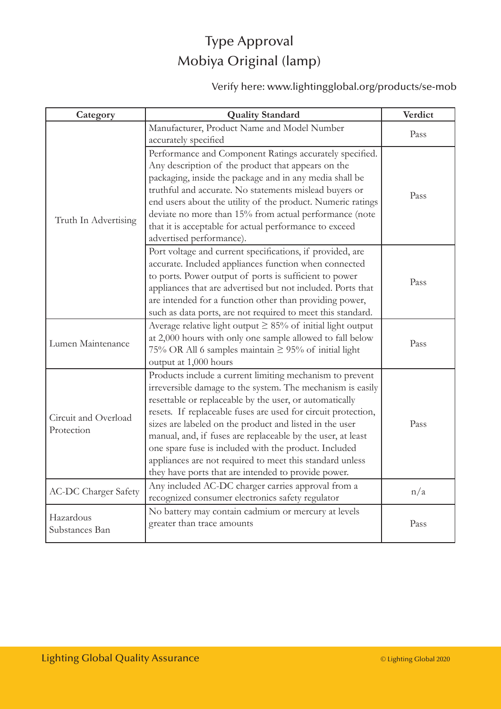## Type Approval Mobiya Original (lamp)

### Verify here: www.lightingglobal.org/products/se-mob

| Category                    | <b>Quality Standard</b>                                          | Verdict |
|-----------------------------|------------------------------------------------------------------|---------|
|                             | Manufacturer, Product Name and Model Number                      | Pass    |
|                             | accurately specified                                             |         |
|                             | Performance and Component Ratings accurately specified.          |         |
|                             | Any description of the product that appears on the               |         |
|                             | packaging, inside the package and in any media shall be          |         |
|                             | truthful and accurate. No statements mislead buyers or           | Pass    |
|                             | end users about the utility of the product. Numeric ratings      |         |
| Truth In Advertising        | deviate no more than 15% from actual performance (note           |         |
|                             | that it is acceptable for actual performance to exceed           |         |
|                             | advertised performance).                                         |         |
|                             | Port voltage and current specifications, if provided, are        |         |
|                             | accurate. Included appliances function when connected            |         |
|                             | to ports. Power output of ports is sufficient to power           | Pass    |
|                             | appliances that are advertised but not included. Ports that      |         |
|                             | are intended for a function other than providing power,          |         |
|                             | such as data ports, are not required to meet this standard.      |         |
|                             | Average relative light output $\geq$ 85% of initial light output |         |
| Lumen Maintenance           | at 2,000 hours with only one sample allowed to fall below        | Pass    |
|                             | 75% OR All 6 samples maintain $\geq$ 95% of initial light        |         |
|                             | output at 1,000 hours                                            |         |
|                             | Products include a current limiting mechanism to prevent         |         |
|                             | irreversible damage to the system. The mechanism is easily       |         |
|                             | resettable or replaceable by the user, or automatically          |         |
| Circuit and Overload        | resets. If replaceable fuses are used for circuit protection,    |         |
| Protection                  | sizes are labeled on the product and listed in the user          | Pass    |
|                             | manual, and, if fuses are replaceable by the user, at least      |         |
|                             | one spare fuse is included with the product. Included            |         |
|                             | appliances are not required to meet this standard unless         |         |
|                             | they have ports that are intended to provide power.              |         |
| <b>AC-DC Charger Safety</b> | Any included AC-DC charger carries approval from a               | n/a     |
|                             | recognized consumer electronics safety regulator                 |         |
| Hazardous<br>Substances Ban | No battery may contain cadmium or mercury at levels              |         |
|                             | greater than trace amounts                                       | Pass    |
|                             |                                                                  |         |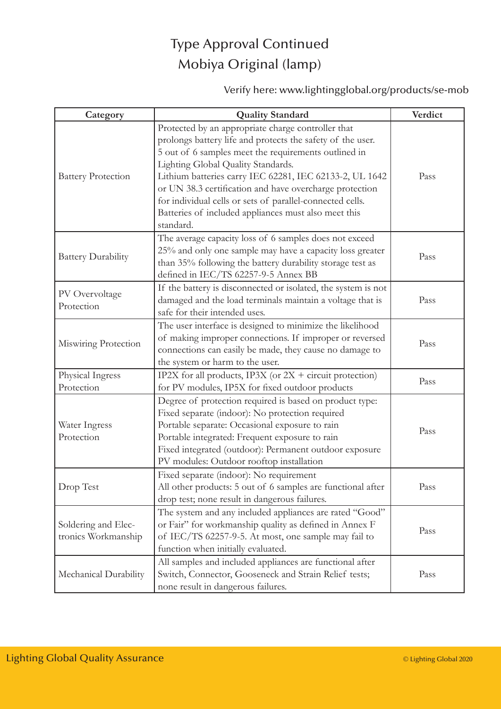## Type Approval Continued Mobiya Original (lamp)

### Verify here: www.lightingglobal.org/products/se-mob

| Category                                   | <b>Quality Standard</b>                                                                                                                                                                                                                                                                                                                                                                                                                                                | Verdict |
|--------------------------------------------|------------------------------------------------------------------------------------------------------------------------------------------------------------------------------------------------------------------------------------------------------------------------------------------------------------------------------------------------------------------------------------------------------------------------------------------------------------------------|---------|
| <b>Battery Protection</b>                  | Protected by an appropriate charge controller that<br>prolongs battery life and protects the safety of the user.<br>5 out of 6 samples meet the requirements outlined in<br>Lighting Global Quality Standards.<br>Lithium batteries carry IEC 62281, IEC 62133-2, UL 1642<br>or UN 38.3 certification and have overcharge protection<br>for individual cells or sets of parallel-connected cells.<br>Batteries of included appliances must also meet this<br>standard. | Pass    |
| <b>Battery Durability</b>                  | The average capacity loss of 6 samples does not exceed<br>25% and only one sample may have a capacity loss greater<br>than 35% following the battery durability storage test as<br>defined in IEC/TS 62257-9-5 Annex BB                                                                                                                                                                                                                                                | Pass    |
| PV Overvoltage<br>Protection               | If the battery is disconnected or isolated, the system is not<br>damaged and the load terminals maintain a voltage that is<br>safe for their intended uses.                                                                                                                                                                                                                                                                                                            | Pass    |
| Miswiring Protection                       | The user interface is designed to minimize the likelihood<br>of making improper connections. If improper or reversed<br>connections can easily be made, they cause no damage to<br>the system or harm to the user.                                                                                                                                                                                                                                                     | Pass    |
| Physical Ingress<br>Protection             | IP2X for all products, IP3X (or 2X + circuit protection)<br>for PV modules, IP5X for fixed outdoor products                                                                                                                                                                                                                                                                                                                                                            | Pass    |
| Water Ingress<br>Protection                | Degree of protection required is based on product type:<br>Fixed separate (indoor): No protection required<br>Portable separate: Occasional exposure to rain<br>Portable integrated: Frequent exposure to rain<br>Fixed integrated (outdoor): Permanent outdoor exposure<br>PV modules: Outdoor rooftop installation                                                                                                                                                   | Pass    |
| Drop Test                                  | Fixed separate (indoor): No requirement<br>All other products: 5 out of 6 samples are functional after<br>drop test; none result in dangerous failures.                                                                                                                                                                                                                                                                                                                | Pass    |
| Soldering and Elec-<br>tronics Workmanship | The system and any included appliances are rated "Good"<br>or Fair" for workmanship quality as defined in Annex F<br>of IEC/TS 62257-9-5. At most, one sample may fail to<br>function when initially evaluated.                                                                                                                                                                                                                                                        | Pass    |
| Mechanical Durability                      | All samples and included appliances are functional after<br>Switch, Connector, Gooseneck and Strain Relief tests;<br>none result in dangerous failures.                                                                                                                                                                                                                                                                                                                | Pass    |